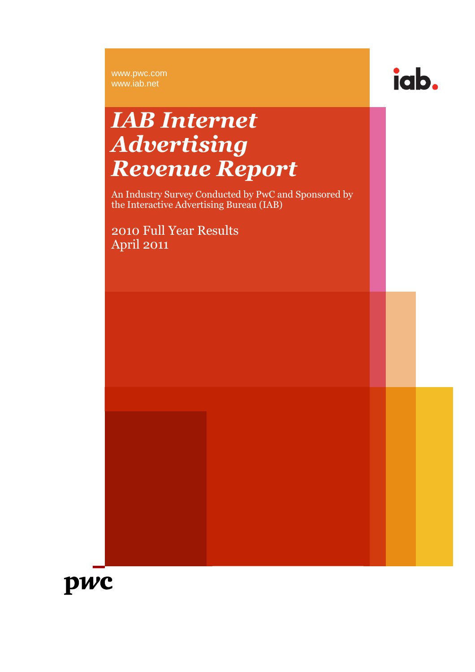www.pwc.com www.iab.net



## *IAB Internet Advertising Revenue Report*

An Industry Survey Conducted by PwC and Sponsored by the Interactive Advertising Bureau (IAB)

2010 Full Year Results April 2011

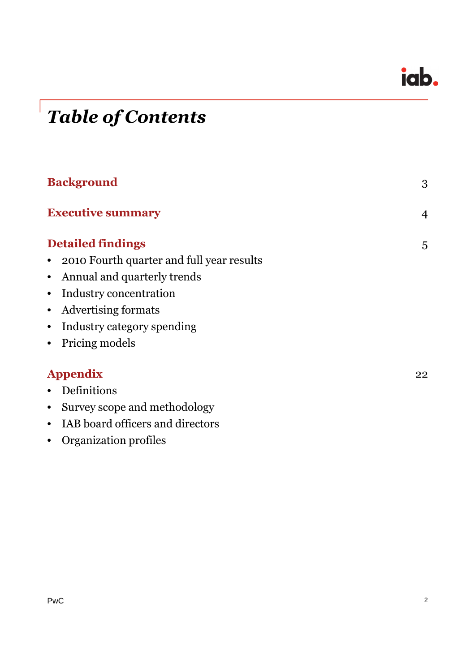

# *Table of Contents*

| <b>Background</b>                             | 3              |
|-----------------------------------------------|----------------|
| <b>Executive summary</b>                      | $\overline{4}$ |
| <b>Detailed findings</b>                      | 5              |
| 2010 Fourth quarter and full year results     |                |
| Annual and quarterly trends<br>$\bullet$      |                |
| Industry concentration<br>$\bullet$           |                |
| Advertising formats<br>$\bullet$              |                |
| Industry category spending<br>$\bullet$       |                |
| Pricing models<br>$\bullet$                   |                |
| <b>Appendix</b>                               | 22             |
| Definitions<br>$\bullet$                      |                |
| Survey scope and methodology<br>$\bullet$     |                |
| IAB board officers and directors<br>$\bullet$ |                |
| Organization profiles<br>$\bullet$            |                |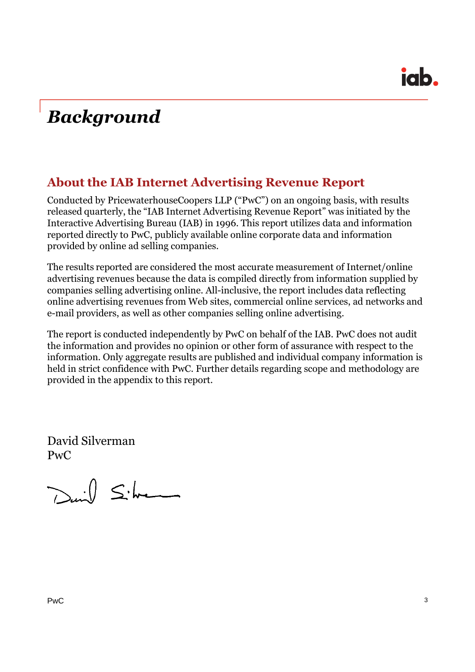## *Background*

### **About the IAB Internet Advertising Revenue Report**

Conducted by PricewaterhouseCoopers LLP ("PwC") on an ongoing basis, with results released quarterly, the "IAB Internet Advertising Revenue Report" was initiated by the Interactive Advertising Bureau (IAB) in 1996. This report utilizes data and information reported directly to PwC, publicly available online corporate data and information provided by online ad selling companies.

The results reported are considered the most accurate measurement of Internet/online advertising revenues because the data is compiled directly from information supplied by companies selling advertising online. All-inclusive, the report includes data reflecting online advertising revenues from Web sites, commercial online services, ad networks and e-mail providers, as well as other companies selling online advertising.

The report is conducted independently by PwC on behalf of the IAB. PwC does not audit the information and provides no opinion or other form of assurance with respect to the information. Only aggregate results are published and individual company information is held in strict confidence with PwC. Further details regarding scope and methodology are provided in the appendix to this report.

David Silverman PwC

David Silver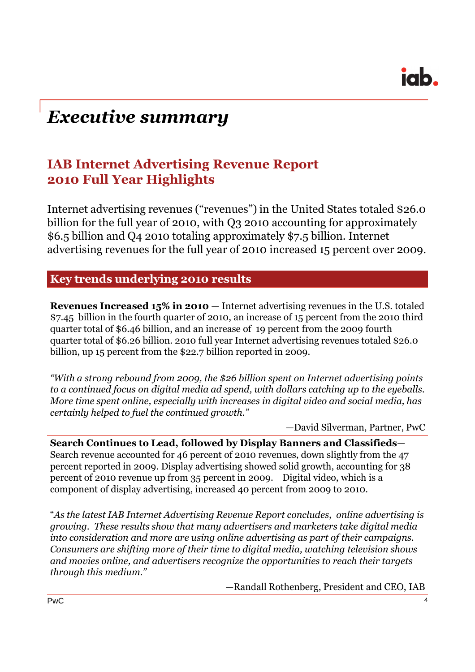

## *Executive summary*

### **IAB Internet Advertising Revenue Report 2010 Full Year Highlights**

Internet advertising revenues ("revenues") in the United States totaled \$26.0 billion for the full year of 2010, with Q3 2010 accounting for approximately \$6.5 billion and Q4 2010 totaling approximately \$7.5 billion. Internet advertising revenues for the full year of 2010 increased 15 percent over 2009.

#### **Key trends underlying 2010 results**

**Revenues Increased 15% in 2010** — Internet advertising revenues in the U.S. totaled \$7.45 billion in the fourth quarter of 2010, an increase of 15 percent from the 2010 third quarter total of \$6.46 billion, and an increase of 19 percent from the 2009 fourth quarter total of \$6.26 billion. 2010 full year Internet advertising revenues totaled \$26.0 billion, up 15 percent from the \$22.7 billion reported in 2009.

*"With a strong rebound from 2009, the \$26 billion spent on Internet advertising points to a continued focus on digital media ad spend, with dollars catching up to the eyeballs. More time spent online, especially with increases in digital video and social media, has certainly helped to fuel the continued growth."*

—David Silverman, Partner, PwC

**Search Continues to Lead, followed by Display Banners and Classifieds**— Search revenue accounted for 46 percent of 2010 revenues, down slightly from the 47 percent reported in 2009. Display advertising showed solid growth, accounting for 38 percent of 2010 revenue up from 35 percent in 2009. Digital video, which is a component of display advertising, increased 40 percent from 2009 to 2010.

"*As the latest IAB Internet Advertising Revenue Report concludes, online advertising is growing. These results show that many advertisers and marketers take digital media into consideration and more are using online advertising as part of their campaigns. Consumers are shifting more of their time to digital media, watching television shows and movies online, and advertisers recognize the opportunities to reach their targets through this medium."*

—Randall Rothenberg, President and CEO, IAB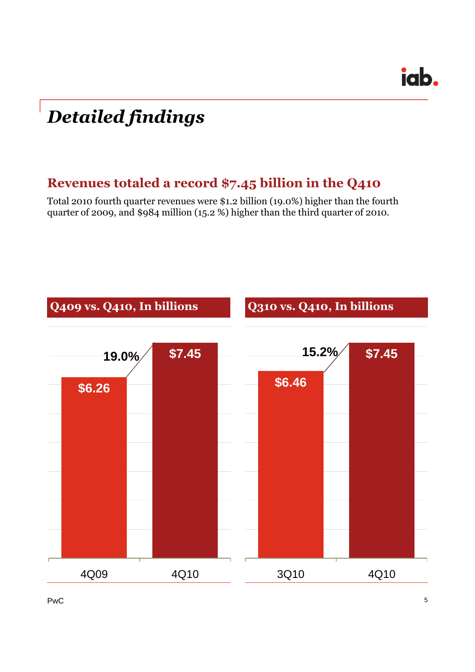## *Detailed findings*

### **Revenues totaled a record \$7.45 billion in the Q410**

Total 2010 fourth quarter revenues were \$1.2 billion (19.0%) higher than the fourth quarter of 2009, and \$984 million (15.2 %) higher than the third quarter of 2010.



 $PwC$  5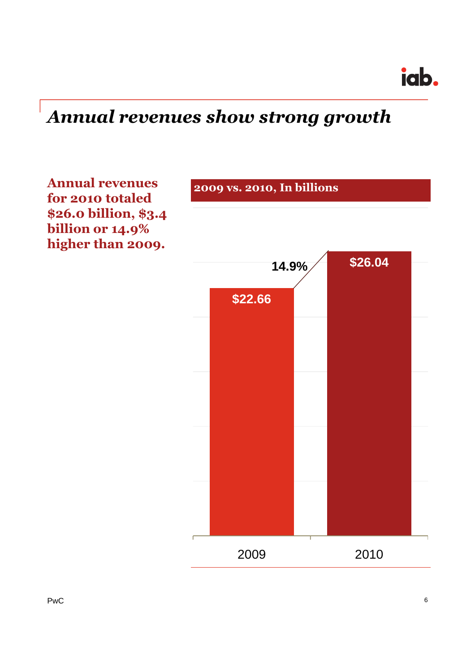iab.

## *Annual revenues show strong growth*

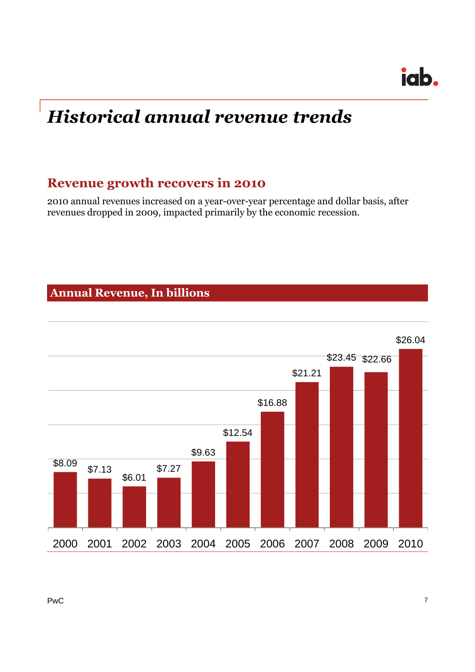## *Historical annual revenue trends*

### **Revenue growth recovers in 2010**

2010 annual revenues increased on a year-over-year percentage and dollar basis, after revenues dropped in 2009, impacted primarily by the economic recession.

### **Annual Revenue, In billions**

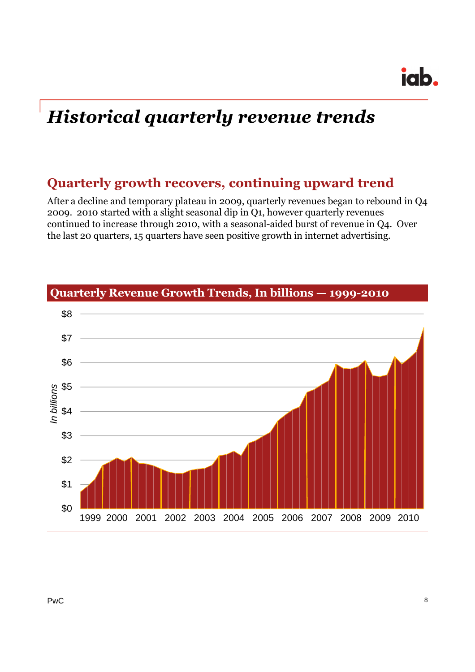## *Historical quarterly revenue trends*

### **Quarterly growth recovers, continuing upward trend**

After a decline and temporary plateau in 2009, quarterly revenues began to rebound in Q4 2009. 2010 started with a slight seasonal dip in Q1, however quarterly revenues continued to increase through 2010, with a seasonal-aided burst of revenue in Q4. Over the last 20 quarters, 15 quarters have seen positive growth in internet advertising.



**Quarterly Revenue Growth Trends, In billions — 1999-2010**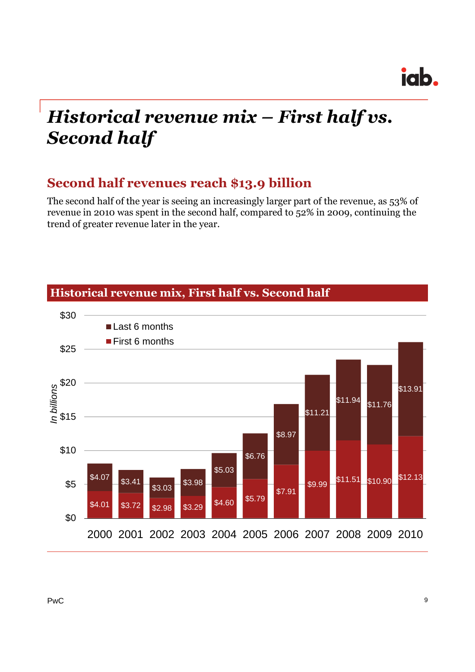## *Historical revenue mix – First half vs. Second half*

### **Second half revenues reach \$13.9 billion**

The second half of the year is seeing an increasingly larger part of the revenue, as 53% of revenue in 2010 was spent in the second half, compared to 52% in 2009, continuing the trend of greater revenue later in the year.



### **Historical revenue mix, First half vs. Second half**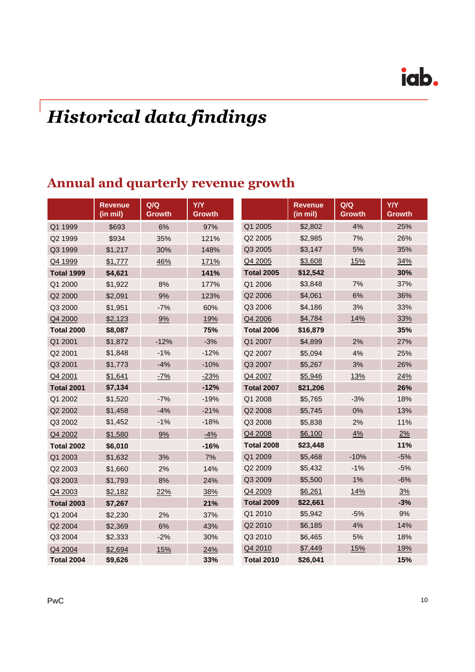# *Historical data findings*

### **Annual and quarterly revenue growth**

|                   | <b>Revenue</b><br>(in mil) | Q/Q<br><b>Growth</b> | <b>Y/Y</b><br><b>Growth</b> |                   | <b>Revenue</b><br>(in mil) | Q/Q<br><b>Growth</b> | <b>Y/Y</b><br><b>Growth</b> |
|-------------------|----------------------------|----------------------|-----------------------------|-------------------|----------------------------|----------------------|-----------------------------|
| Q1 1999           | \$693                      | 6%                   | 97%                         | Q1 2005           | \$2,802                    | 4%                   | 25%                         |
| Q2 1999           | \$934                      | 35%                  | 121%                        | Q2 2005           | \$2,985                    | 7%                   | 26%                         |
| Q3 1999           | \$1,217                    | 30%                  | 148%                        | Q3 2005           | \$3,147                    | 5%                   | 35%                         |
| Q4 1999           | \$1,777                    | 46%                  | 171%                        | Q4 2005           | \$3,608                    | 15%                  | 34%                         |
| <b>Total 1999</b> | \$4,621                    |                      | 141%                        | <b>Total 2005</b> | \$12,542                   |                      | 30%                         |
| Q1 2000           | \$1,922                    | 8%                   | 177%                        | Q1 2006           | \$3,848                    | 7%                   | 37%                         |
| Q2 2000           | \$2,091                    | 9%                   | 123%                        | Q2 2006           | \$4,061                    | 6%                   | 36%                         |
| Q3 2000           | \$1,951                    | $-7%$                | 60%                         | Q3 2006           | \$4,186                    | 3%                   | 33%                         |
| Q4 2000           | \$2,123                    | 9%                   | 19%                         | Q4 2006           | \$4,784                    | 14%                  | 33%                         |
| <b>Total 2000</b> | \$8,087                    |                      | 75%                         | <b>Total 2006</b> | \$16,879                   |                      | 35%                         |
| Q1 2001           | \$1,872                    | $-12%$               | $-3%$                       | Q1 2007           | \$4,899                    | 2%                   | 27%                         |
| Q2 2001           | \$1,848                    | $-1%$                | $-12%$                      | Q2 2007           | \$5,094                    | 4%                   | 25%                         |
| Q3 2001           | \$1,773                    | $-4%$                | $-10%$                      | Q3 2007           | \$5,267                    | 3%                   | 26%                         |
| Q4 2001           | \$1,641                    | $-7%$                | $-23%$                      | Q4 2007           | \$5,946                    | 13%                  | 24%                         |
| <b>Total 2001</b> | \$7,134                    |                      | $-12%$                      | <b>Total 2007</b> | \$21,206                   |                      | 26%                         |
| Q1 2002           | \$1,520                    | $-7%$                | $-19%$                      | Q1 2008           | \$5,765                    | $-3%$                | 18%                         |
| Q2 2002           | \$1,458                    | $-4%$                | $-21%$                      | Q2 2008           | \$5,745                    | 0%                   | 13%                         |
| Q3 2002           | \$1,452                    | $-1%$                | $-18%$                      | Q3 2008           | \$5,838                    | 2%                   | 11%                         |
| Q4 2002           | \$1,580                    | 9%                   | $-4%$                       | Q4 2008           | \$6,100                    | 4%                   | 2%                          |
| <b>Total 2002</b> | \$6,010                    |                      | $-16%$                      | <b>Total 2008</b> | \$23,448                   |                      | 11%                         |
| Q1 2003           | \$1,632                    | 3%                   | 7%                          | Q1 2009           | \$5,468                    | $-10%$               | $-5%$                       |
| Q2 2003           | \$1,660                    | 2%                   | 14%                         | Q2 2009           | \$5,432                    | $-1%$                | $-5%$                       |
| Q3 2003           | \$1,793                    | 8%                   | 24%                         | Q3 2009           | \$5,500                    | 1%                   | $-6%$                       |
| Q4 2003           | \$2,182                    | 22%                  | 38%                         | Q4 2009           | \$6,261                    | 14%                  | 3%                          |
| <b>Total 2003</b> | \$7,267                    |                      | 21%                         | <b>Total 2009</b> | \$22,661                   |                      | $-3%$                       |
| Q1 2004           | \$2,230                    | 2%                   | 37%                         | Q1 2010           | \$5,942                    | $-5%$                | 9%                          |
| Q2 2004           | \$2,369                    | 6%                   | 43%                         | Q2 2010           | \$6,185                    | 4%                   | 14%                         |
| Q3 2004           | \$2,333                    | $-2%$                | 30%                         | Q3 2010           | \$6,465                    | 5%                   | 18%                         |
| Q4 2004           | \$2,694                    | 15%                  | 24%                         | Q4 2010           | \$7,449                    | 15%                  | 19%                         |
| <b>Total 2004</b> | \$9,626                    |                      | 33%                         | <b>Total 2010</b> | \$26,041                   |                      | 15%                         |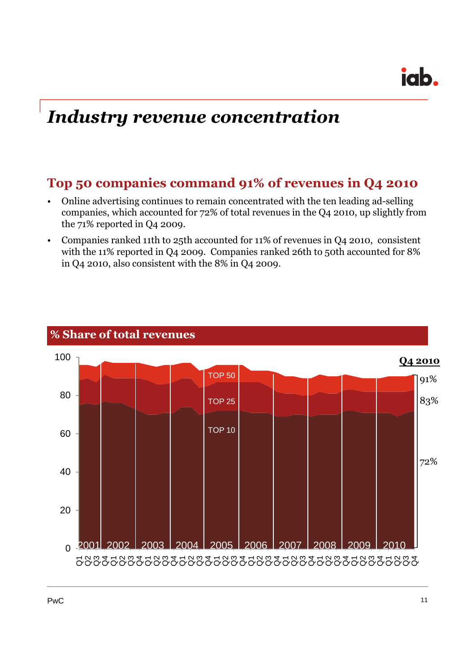## *Industry revenue concentration*

### **Top 50 companies command 91% of revenues in Q4 2010**

- Online advertising continues to remain concentrated with the ten leading ad-selling companies, which accounted for 72% of total revenues in the Q4 2010, up slightly from the 71% reported in Q4 2009.
- Companies ranked 11th to 25th accounted for 11% of revenues in Q4 2010, consistent with the 11% reported in Q4 2009. Companies ranked 26th to 50th accounted for 8% in Q4 2010, also consistent with the 8% in Q4 2009.



#### **% Share of total revenues**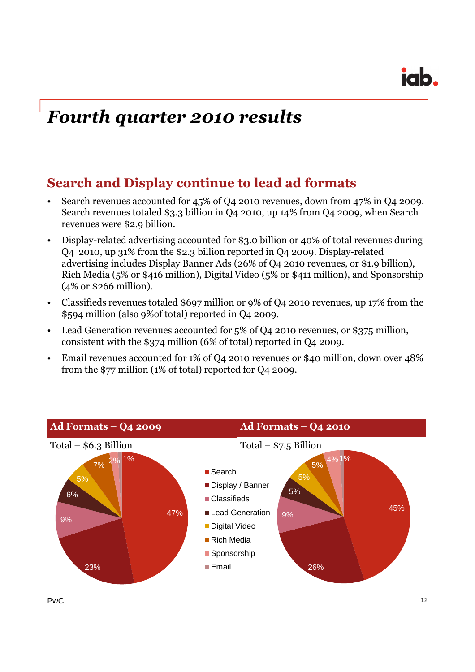## *Fourth quarter 2010 results*

### **Search and Display continue to lead ad formats**

- Search revenues accounted for 45% of Q4 2010 revenues, down from 47% in Q4 2009. Search revenues totaled \$3.3 billion in Q4 2010, up 14% from Q4 2009, when Search revenues were \$2.9 billion.
- Display-related advertising accounted for \$3.0 billion or 40% of total revenues during Q4 2010, up 31% from the \$2.3 billion reported in Q4 2009. Display-related advertising includes Display Banner Ads (26% of Q4 2010 revenues, or \$1.9 billion), Rich Media (5% or \$416 million), Digital Video (5% or \$411 million), and Sponsorship (4% or \$266 million).
- Classifieds revenues totaled \$697 million or 9% of Q4 2010 revenues, up 17% from the \$594 million (also 9%of total) reported in Q4 2009.
- Lead Generation revenues accounted for 5% of Q4 2010 revenues, or \$375 million, consistent with the \$374 million (6% of total) reported in Q4 2009.
- Email revenues accounted for 1% of Q4 2010 revenues or \$40 million, down over 48% from the \$77 million (1% of total) reported for Q4 2009.

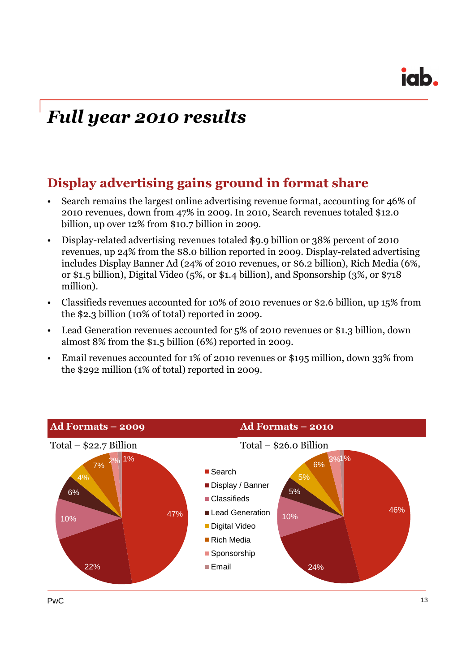## *Full year 2010 results*

### **Display advertising gains ground in format share**

- Search remains the largest online advertising revenue format, accounting for 46% of 2010 revenues, down from 47% in 2009. In 2010, Search revenues totaled \$12.0 billion, up over 12% from \$10.7 billion in 2009.
- Display-related advertising revenues totaled \$9.9 billion or 38% percent of 2010 revenues, up 24% from the \$8.0 billion reported in 2009. Display-related advertising includes Display Banner Ad (24% of 2010 revenues, or \$6.2 billion), Rich Media (6%, or \$1.5 billion), Digital Video (5%, or \$1.4 billion), and Sponsorship (3%, or \$718 million).
- Classifieds revenues accounted for 10% of 2010 revenues or \$2.6 billion, up 15% from the \$2.3 billion (10% of total) reported in 2009.
- Lead Generation revenues accounted for 5% of 2010 revenues or \$1.3 billion, down almost 8% from the \$1.5 billion (6%) reported in 2009.
- Email revenues accounted for 1% of 2010 revenues or \$195 million, down 33% from the \$292 million (1% of total) reported in 2009.

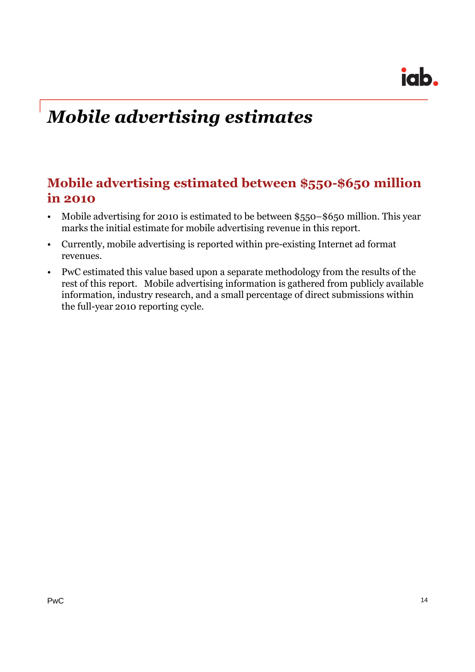## *Mobile advertising estimates*

### **Mobile advertising estimated between \$550-\$650 million in 2010**

- Mobile advertising for 2010 is estimated to be between \$550–\$650 million. This year marks the initial estimate for mobile advertising revenue in this report.
- Currently, mobile advertising is reported within pre-existing Internet ad format revenues.
- PwC estimated this value based upon a separate methodology from the results of the rest of this report. Mobile advertising information is gathered from publicly available information, industry research, and a small percentage of direct submissions within the full-year 2010 reporting cycle.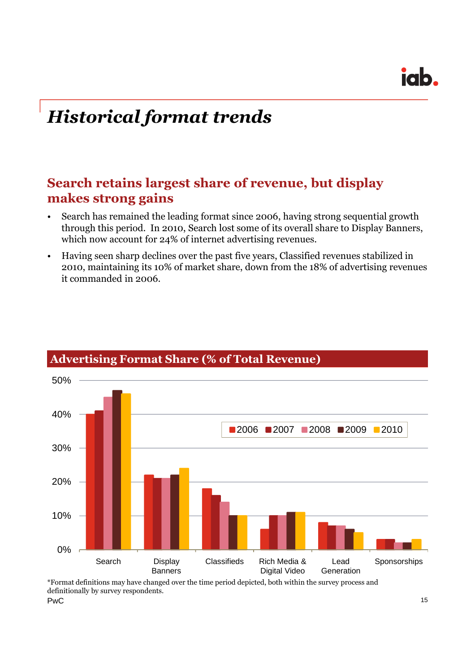## *Historical format trends*

### **Search retains largest share of revenue, but display makes strong gains**

- Search has remained the leading format since 2006, having strong sequential growth through this period. In 2010, Search lost some of its overall share to Display Banners, which now account for 24% of internet advertising revenues.
- Having seen sharp declines over the past five years, Classified revenues stabilized in 2010, maintaining its 10% of market share, down from the 18% of advertising revenues it commanded in 2006.



### **Advertising Format Share (% of Total Revenue)**

 $PwC$  and  $\frac{15}{2}$  15 \*Format definitions may have changed over the time period depicted, both within the survey process and definitionally by survey respondents.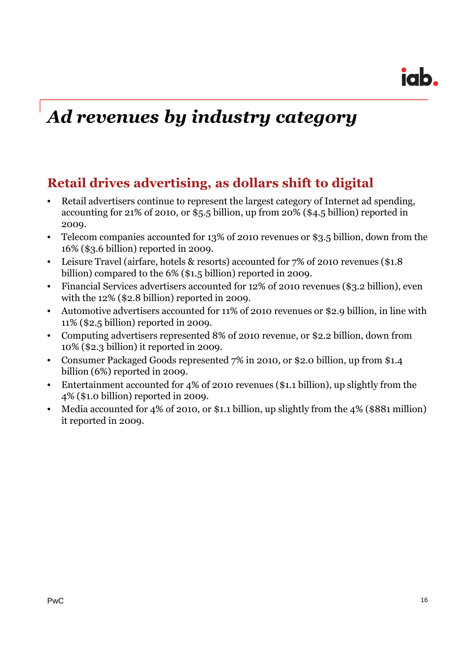## *Ad revenues by industry category*

### **Retail drives advertising, as dollars shift to digital**

- Retail advertisers continue to represent the largest category of Internet ad spending, accounting for 21% of 2010, or \$5.5 billion, up from 20% (\$4.5 billion) reported in 2009.
- Telecom companies accounted for 13% of 2010 revenues or \$3.5 billion, down from the 16% (\$3.6 billion) reported in 2009.
- Leisure Travel (airfare, hotels & resorts) accounted for 7% of 2010 revenues (\$1.8 billion) compared to the 6% (\$1.5 billion) reported in 2009.
- Financial Services advertisers accounted for 12% of 2010 revenues (\$3.2 billion), even with the 12% (\$2.8 billion) reported in 2009.
- Automotive advertisers accounted for 11% of 2010 revenues or \$2.9 billion, in line with 11% (\$2.5 billion) reported in 2009.
- Computing advertisers represented 8% of 2010 revenue, or \$2.2 billion, down from 10% (\$2.3 billion) it reported in 2009.
- Consumer Packaged Goods represented 7% in 2010, or \$2.0 billion, up from \$1.4 billion (6%) reported in 2009.
- Entertainment accounted for 4% of 2010 revenues (\$1.1 billion), up slightly from the 4% (\$1.0 billion) reported in 2009.
- Media accounted for 4% of 2010, or \$1.1 billion, up slightly from the 4% (\$881 million) it reported in 2009.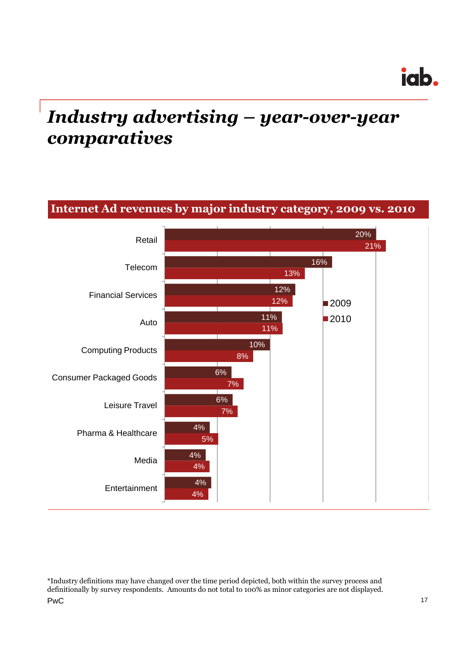## *Industry advertising – year-over-year comparatives*



PwC 22 and 22 and 22 and 23 and 23 and 23 and 24 and 25 and 26 and 26 and 26 and 27 and 27 and 27 and 27 and 27 \*Industry definitions may have changed over the time period depicted, both within the survey process and definitionally by survey respondents. Amounts do not total to 100% as minor categories are not displayed.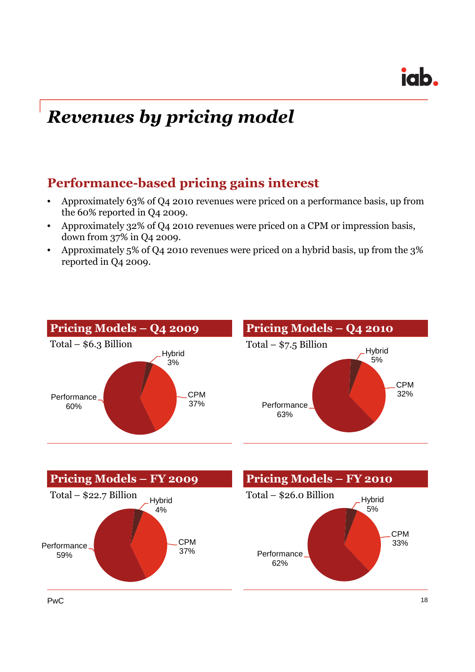## *Revenues by pricing model*

### **Performance-based pricing gains interest**

- Approximately 63% of Q4 2010 revenues were priced on a performance basis, up from the 60% reported in Q4 2009.
- Approximately 32% of Q4 2010 revenues were priced on a CPM or impression basis, down from 37% in Q4 2009.
- Approximately 5% of Q4 2010 revenues were priced on a hybrid basis, up from the 3% reported in Q4 2009.



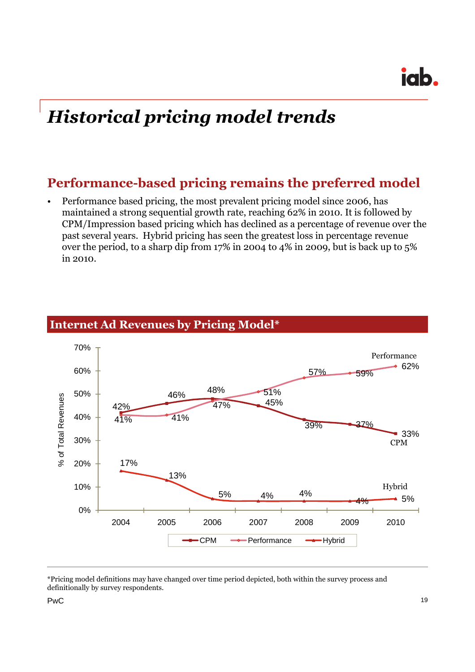## *Historical pricing model trends*

### **Performance-based pricing remains the preferred model**

• Performance based pricing, the most prevalent pricing model since 2006, has maintained a strong sequential growth rate, reaching 62% in 2010. It is followed by CPM/Impression based pricing which has declined as a percentage of revenue over the past several years. Hybrid pricing has seen the greatest loss in percentage revenue over the period, to a sharp dip from 17% in 2004 to 4% in 2009, but is back up to 5% in 2010.



### **Internet Ad Revenues by Pricing Model\***

<sup>\*</sup>Pricing model definitions may have changed over time period depicted, both within the survey process and definitionally by survey respondents.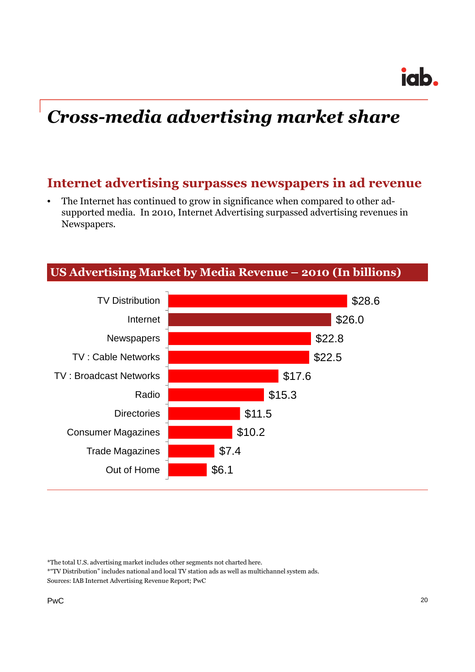## *Cross-media advertising market share*

### **Internet advertising surpasses newspapers in ad revenue**

• The Internet has continued to grow in significance when compared to other adsupported media. In 2010, Internet Advertising surpassed advertising revenues in Newspapers.



#### **US Advertising Market by Media Revenue – 2010 (In billions)**

<sup>\*</sup>The total U.S. advertising market includes other segments not charted here.

<sup>\*&</sup>quot;TV Distribution" includes national and local TV station ads as well as multichannel system ads. Sources: IAB Internet Advertising Revenue Report; PwC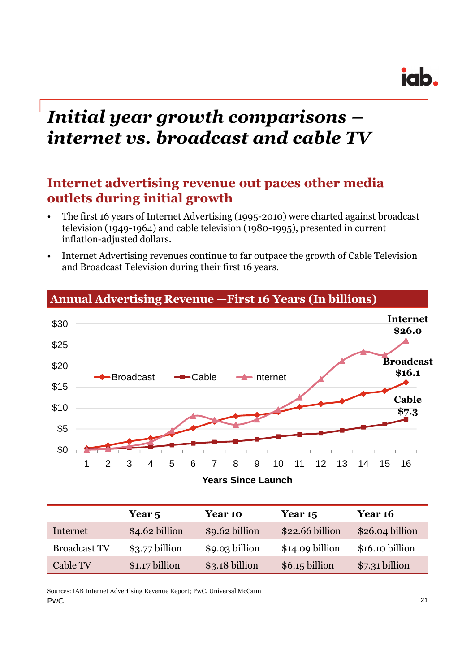## *Initial year growth comparisons – internet vs. broadcast and cable TV*

### **Internet advertising revenue out paces other media outlets during initial growth**

- The first 16 years of Internet Advertising (1995-2010) were charted against broadcast television (1949-1964) and cable television (1980-1995), presented in current inflation-adjusted dollars.
- Internet Advertising revenues continue to far outpace the growth of Cable Television and Broadcast Television during their first 16 years.



#### **Annual Advertising Revenue —First 16 Years (In billions)**

|                     | Year 5          | Year 10        | Year 15          | <b>Year 16</b>   |
|---------------------|-----------------|----------------|------------------|------------------|
| Internet            | \$4.62 billion  | \$9.62 billion | \$22.66 billion  | $$26.04$ billion |
| <b>Broadcast TV</b> | $$3.77$ billion | \$9.03 billion | $$14.09$ billion | \$16.10 billion  |
| Cable TV            | $$1.17$ billion | \$3.18 billion | $$6.15$ billion  | $$7.31$ billion  |

PwC 21 Sources: IAB Internet Advertising Revenue Report; PwC, Universal McCann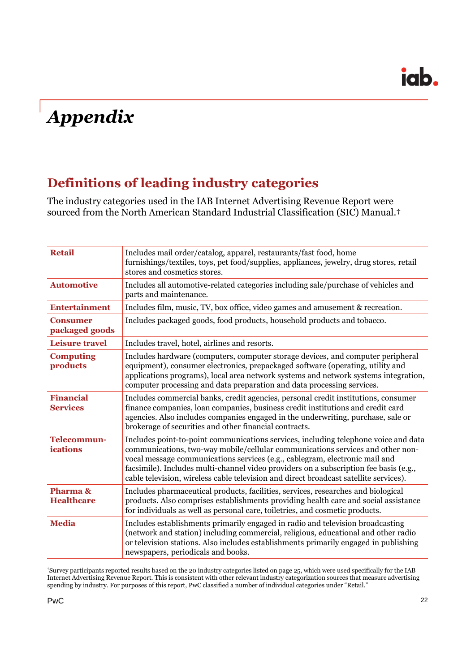## *Appendix*

### **Definitions of leading industry categories**

The industry categories used in the IAB Internet Advertising Revenue Report were sourced from the North American Standard Industrial Classification (SIC) Manual.†

| <b>Retail</b>                       | Includes mail order/catalog, apparel, restaurants/fast food, home<br>furnishings/textiles, toys, pet food/supplies, appliances, jewelry, drug stores, retail<br>stores and cosmetics stores.                                                                                                                                                                                                                                           |
|-------------------------------------|----------------------------------------------------------------------------------------------------------------------------------------------------------------------------------------------------------------------------------------------------------------------------------------------------------------------------------------------------------------------------------------------------------------------------------------|
| <b>Automotive</b>                   | Includes all automotive-related categories including sale/purchase of vehicles and<br>parts and maintenance.                                                                                                                                                                                                                                                                                                                           |
| <b>Entertainment</b>                | Includes film, music, TV, box office, video games and amusement & recreation.                                                                                                                                                                                                                                                                                                                                                          |
| <b>Consumer</b><br>packaged goods   | Includes packaged goods, food products, household products and tobacco.                                                                                                                                                                                                                                                                                                                                                                |
| <b>Leisure travel</b>               | Includes travel, hotel, airlines and resorts.                                                                                                                                                                                                                                                                                                                                                                                          |
| <b>Computing</b><br>products        | Includes hardware (computers, computer storage devices, and computer peripheral<br>equipment), consumer electronics, prepackaged software (operating, utility and<br>applications programs), local area network systems and network systems integration,<br>computer processing and data preparation and data processing services.                                                                                                     |
| <b>Financial</b><br><b>Services</b> | Includes commercial banks, credit agencies, personal credit institutions, consumer<br>finance companies, loan companies, business credit institutions and credit card<br>agencies. Also includes companies engaged in the underwriting, purchase, sale or<br>brokerage of securities and other financial contracts.                                                                                                                    |
| <b>Telecommun-</b><br>ications      | Includes point-to-point communications services, including telephone voice and data<br>communications, two-way mobile/cellular communications services and other non-<br>vocal message communications services (e.g., cablegram, electronic mail and<br>facsimile). Includes multi-channel video providers on a subscription fee basis (e.g.,<br>cable television, wireless cable television and direct broadcast satellite services). |
| Pharma &<br><b>Healthcare</b>       | Includes pharmaceutical products, facilities, services, researches and biological<br>products. Also comprises establishments providing health care and social assistance<br>for individuals as well as personal care, toiletries, and cosmetic products.                                                                                                                                                                               |
| <b>Media</b>                        | Includes establishments primarily engaged in radio and television broadcasting<br>(network and station) including commercial, religious, educational and other radio<br>or television stations. Also includes establishments primarily engaged in publishing<br>newspapers, periodicals and books.                                                                                                                                     |
|                                     |                                                                                                                                                                                                                                                                                                                                                                                                                                        |

†Survey participants reported results based on the 20 industry categories listed on page 25, which were used specifically for the IAB Internet Advertising Revenue Report. This is consistent with other relevant industry categorization sources that measure advertising spending by industry. For purposes of this report, PwC classified a number of individual categories under "Retail."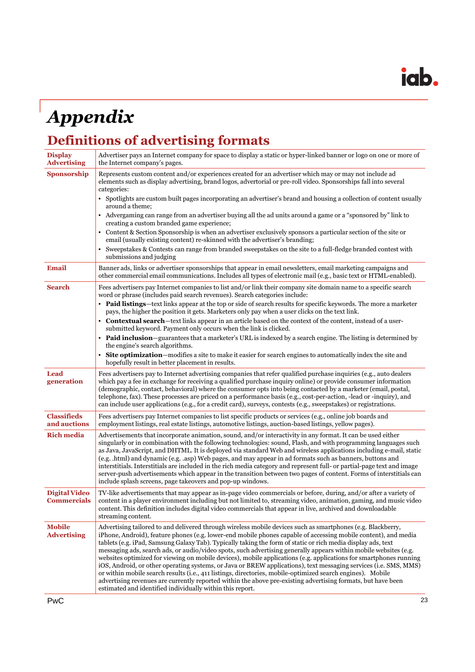## *Appendix*

## **Definitions of advertising formats**

| <b>Display</b><br><b>Advertising</b>       | Advertiser pays an Internet company for space to display a static or hyper-linked banner or logo on one or more of<br>the Internet company's pages.                                                                                                                                                                                                                                                                                                                                                                                                                                                                                                                                                                                                                                                                                                                                                                                                                                                   |
|--------------------------------------------|-------------------------------------------------------------------------------------------------------------------------------------------------------------------------------------------------------------------------------------------------------------------------------------------------------------------------------------------------------------------------------------------------------------------------------------------------------------------------------------------------------------------------------------------------------------------------------------------------------------------------------------------------------------------------------------------------------------------------------------------------------------------------------------------------------------------------------------------------------------------------------------------------------------------------------------------------------------------------------------------------------|
| Sponsorship                                | Represents custom content and/or experiences created for an advertiser which may or may not include ad<br>elements such as display advertising, brand logos, advertorial or pre-roll video. Sponsorships fall into several<br>categories:                                                                                                                                                                                                                                                                                                                                                                                                                                                                                                                                                                                                                                                                                                                                                             |
|                                            | Spotlights are custom built pages incorporating an advertiser's brand and housing a collection of content usually<br>around a theme:                                                                                                                                                                                                                                                                                                                                                                                                                                                                                                                                                                                                                                                                                                                                                                                                                                                                  |
|                                            | • Advergaming can range from an advertiser buying all the ad units around a game or a "sponsored by" link to<br>creating a custom branded game experience;                                                                                                                                                                                                                                                                                                                                                                                                                                                                                                                                                                                                                                                                                                                                                                                                                                            |
|                                            | Content & Section Sponsorship is when an advertiser exclusively sponsors a particular section of the site or<br>email (usually existing content) re-skinned with the advertiser's branding;                                                                                                                                                                                                                                                                                                                                                                                                                                                                                                                                                                                                                                                                                                                                                                                                           |
|                                            | Sweepstakes & Contests can range from branded sweepstakes on the site to a full-fledge branded contest with<br>submissions and judging                                                                                                                                                                                                                                                                                                                                                                                                                                                                                                                                                                                                                                                                                                                                                                                                                                                                |
| <b>Email</b>                               | Banner ads, links or advertiser sponsorships that appear in email newsletters, email marketing campaigns and<br>other commercial email communications. Includes all types of electronic mail (e.g., basic text or HTML-enabled).                                                                                                                                                                                                                                                                                                                                                                                                                                                                                                                                                                                                                                                                                                                                                                      |
| <b>Search</b>                              | Fees advertisers pay Internet companies to list and/or link their company site domain name to a specific search<br>word or phrase (includes paid search revenues). Search categories include:                                                                                                                                                                                                                                                                                                                                                                                                                                                                                                                                                                                                                                                                                                                                                                                                         |
|                                            | • Paid listings—text links appear at the top or side of search results for specific keywords. The more a marketer<br>pays, the higher the position it gets. Marketers only pay when a user clicks on the text link.                                                                                                                                                                                                                                                                                                                                                                                                                                                                                                                                                                                                                                                                                                                                                                                   |
|                                            | Contextual search-text links appear in an article based on the context of the content, instead of a user-<br>submitted keyword. Payment only occurs when the link is clicked.                                                                                                                                                                                                                                                                                                                                                                                                                                                                                                                                                                                                                                                                                                                                                                                                                         |
|                                            | • Paid inclusion—guarantees that a marketer's URL is indexed by a search engine. The listing is determined by<br>the engine's search algorithms.                                                                                                                                                                                                                                                                                                                                                                                                                                                                                                                                                                                                                                                                                                                                                                                                                                                      |
|                                            | <b>Site optimization</b> —modifies a site to make it easier for search engines to automatically index the site and<br>hopefully result in better placement in results.                                                                                                                                                                                                                                                                                                                                                                                                                                                                                                                                                                                                                                                                                                                                                                                                                                |
| <b>Lead</b><br>generation                  | Fees advertisers pay to Internet advertising companies that refer qualified purchase inquiries (e.g., auto dealers<br>which pay a fee in exchange for receiving a qualified purchase inquiry online) or provide consumer information<br>(demographic, contact, behavioral) where the consumer opts into being contacted by a marketer (email, postal,<br>telephone, fax). These processes are priced on a performance basis (e.g., cost-per-action, -lead or -inquiry), and<br>can include user applications (e.g., for a credit card), surveys, contests (e.g., sweepstakes) or registrations.                                                                                                                                                                                                                                                                                                                                                                                                       |
| <b>Classifieds</b><br>and auctions         | Fees advertisers pay Internet companies to list specific products or services (e.g., online job boards and<br>employment listings, real estate listings, automotive listings, auction-based listings, yellow pages).                                                                                                                                                                                                                                                                                                                                                                                                                                                                                                                                                                                                                                                                                                                                                                                  |
| <b>Rich media</b>                          | Advertisements that incorporate animation, sound, and/or interactivity in any format. It can be used either<br>singularly or in combination with the following technologies: sound, Flash, and with programming languages such<br>as Java, JavaScript, and DHTML. It is deployed via standard Web and wireless applications including e-mail, static<br>(e.g. .html) and dynamic (e.g. .asp) Web pages, and may appear in ad formats such as banners, buttons and<br>interstitials. Interstitials are included in the rich media category and represent full- or partial-page text and image<br>server-push advertisements which appear in the transition between two pages of content. Forms of interstitials can<br>include splash screens, page takeovers and pop-up windows.                                                                                                                                                                                                                      |
| <b>Digital Video</b><br><b>Commercials</b> | TV-like advertisements that may appear as in-page video commercials or before, during, and/or after a variety of<br>content in a player environment including but not limited to, streaming video, animation, gaming, and music video<br>content. This definition includes digital video commercials that appear in live, archived and downloadable<br>streaming content.                                                                                                                                                                                                                                                                                                                                                                                                                                                                                                                                                                                                                             |
| <b>Mobile</b><br><b>Advertising</b>        | Advertising tailored to and delivered through wireless mobile devices such as smartphones (e.g. Blackberry,<br>iPhone, Android), feature phones (e.g. lower-end mobile phones capable of accessing mobile content), and media<br>tablets (e.g. iPad, Samsung Galaxy Tab). Typically taking the form of static or rich media display ads, text<br>messaging ads, search ads, or audio/video spots, such advertising generally appears within mobile websites (e.g.<br>websites optimized for viewing on mobile devices), mobile applications (e.g. applications for smartphones running<br>iOS, Android, or other operating systems, or Java or BREW applications), text messaging services (i.e. SMS, MMS)<br>or within mobile search results (i.e., 411 listings, directories, mobile-optimized search engines). Mobile<br>advertising revenues are currently reported within the above pre-existing advertising formats, but have been<br>estimated and identified individually within this report. |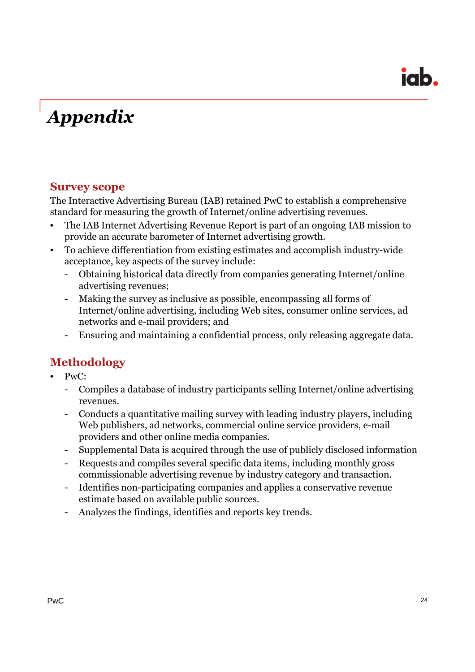## *Appendix*

#### **Survey scope**

The Interactive Advertising Bureau (IAB) retained PwC to establish a comprehensive standard for measuring the growth of Internet/online advertising revenues.

- The IAB Internet Advertising Revenue Report is part of an ongoing IAB mission to provide an accurate barometer of Internet advertising growth.
- To achieve differentiation from existing estimates and accomplish industry-wide acceptance, key aspects of the survey include:
	- Obtaining historical data directly from companies generating Internet/online advertising revenues;
	- Making the survey as inclusive as possible, encompassing all forms of Internet/online advertising, including Web sites, consumer online services, ad networks and e-mail providers; and
	- Ensuring and maintaining a confidential process, only releasing aggregate data.

### **Methodology**

- PwC:
	- Compiles a database of industry participants selling Internet/online advertising revenues.
	- Conducts a quantitative mailing survey with leading industry players, including Web publishers, ad networks, commercial online service providers, e-mail providers and other online media companies.
	- Supplemental Data is acquired through the use of publicly disclosed information
	- Requests and compiles several specific data items, including monthly gross commissionable advertising revenue by industry category and transaction.
	- Identifies non-participating companies and applies a conservative revenue estimate based on available public sources.
	- Analyzes the findings, identifies and reports key trends.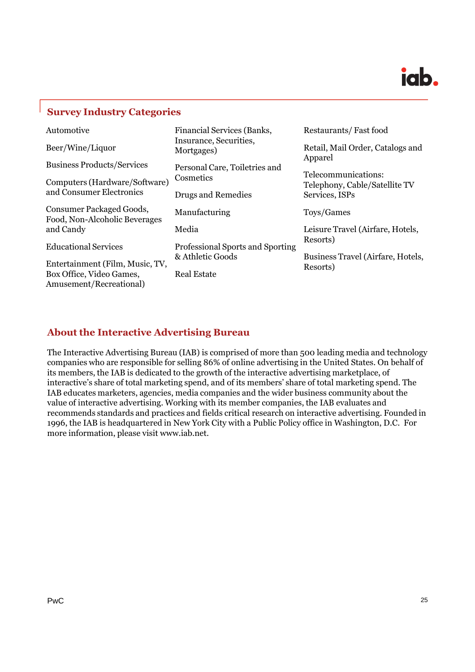

#### **Survey Industry Categories**

| Automotive                                                                             | <b>Financial Services (Banks,</b>      | Restaurants/Fast food                                |  |
|----------------------------------------------------------------------------------------|----------------------------------------|------------------------------------------------------|--|
| Beer/Wine/Liquor                                                                       | Insurance, Securities,<br>Mortgages)   | Retail, Mail Order, Catalogs and<br>Apparel          |  |
| <b>Business Products/Services</b>                                                      | Personal Care, Toiletries and          |                                                      |  |
| Computers (Hardware/Software)                                                          | Cosmetics                              | Telecommunications:<br>Telephony, Cable/Satellite TV |  |
| and Consumer Electronics                                                               | Drugs and Remedies                     | Services, ISPs                                       |  |
| Consumer Packaged Goods,<br>Food, Non-Alcoholic Beverages                              | Manufacturing                          | Toys/Games                                           |  |
| and Candy                                                                              | Media                                  | Leisure Travel (Airfare, Hotels,                     |  |
| <b>Educational Services</b>                                                            | Professional Sports and Sporting       | Resorts)                                             |  |
| Entertainment (Film, Music, TV,<br>Box Office, Video Games,<br>Amusement/Recreational) | & Athletic Goods<br><b>Real Estate</b> | Business Travel (Airfare, Hotels,<br>Resorts)        |  |

#### **About the Interactive Advertising Bureau**

The Interactive Advertising Bureau (IAB) is comprised of more than 500 leading media and technology companies who are responsible for selling 86% of online advertising in the United States. On behalf of its members, the IAB is dedicated to the growth of the interactive advertising marketplace, of interactive's share of total marketing spend, and of its members' share of total marketing spend. The IAB educates marketers, agencies, media companies and the wider business community about the value of interactive advertising. Working with its member companies, the IAB evaluates and recommends standards and practices and fields critical research on interactive advertising. Founded in 1996, the IAB is headquartered in New York City with a Public Policy office in Washington, D.C. For more information, please visit www.iab.net.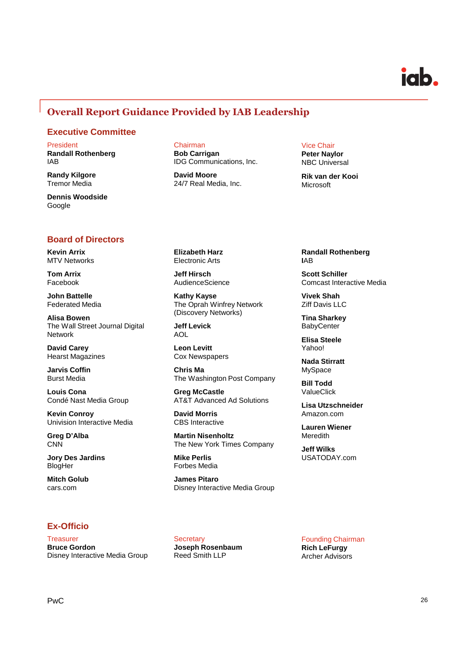#### **Overall Report Guidance Provided by IAB Leadership**

#### **Executive Committee**

President **Randall Rothenberg**

IAB

**Randy Kilgore** Tremor Media

**Dennis Woodside** Google

#### **Board of Directors**

**Kevin Arrix** MTV Networks

**Tom Arrix** Facebook

**John Battelle** Federated Media

**Alisa Bowen** The Wall Street Journal Digital Network

**David Carey** Hearst Magazines

**Jarvis Coffin** Burst Media

**Louis Cona** Condé Nast Media Group

**Kevin Conroy** Univision Interactive Media

**Greg D'Alba CNN** 

**Jory Des Jardins** BlogHer

**Mitch Golub** cars.com

#### **Ex-Officio**

**Treasurer Bruce Gordon** Disney Interactive Media Group Chairman **Bob Carrigan** IDG Communications, Inc.

**David Moore** 24/7 Real Media, Inc.

#### Vice Chair

**Peter Naylor** NBC Universal

**Rik van der Kooi** Microsoft

**Elizabeth Harz** Electronic Arts

**Jeff Hirsch** AudienceScience

**Kathy Kayse** The Oprah Winfrey Network (Discovery Networks)

**Jeff Levick** AOL

**Leon Levitt** Cox Newspapers

**Chris Ma** The Washington Post Company

**Greg McCastle** AT&T Advanced Ad Solutions

**David Morris** CBS Interactive

**Martin Nisenholtz** The New York Times Company

**Mike Perlis** Forbes Media

**Secretary** 

**Joseph Rosenbaum** Reed Smith LLP

**James Pitaro** Disney Interactive Media Group **Randall Rothenberg I**AB

**Scott Schiller** Comcast Interactive Media

**Vivek Shah** Ziff Davis LLC

**Tina Sharkey BabyCenter** 

**Elisa Steele** Yahoo!

**Nada Stirratt** MySpace

**Bill Todd** ValueClick

**Lisa Utzschneider** Amazon.com

**Lauren Wiener** Meredith

**Jeff Wilks** USATODAY.com

Founding Chairman **Rich LeFurgy** Archer Advisors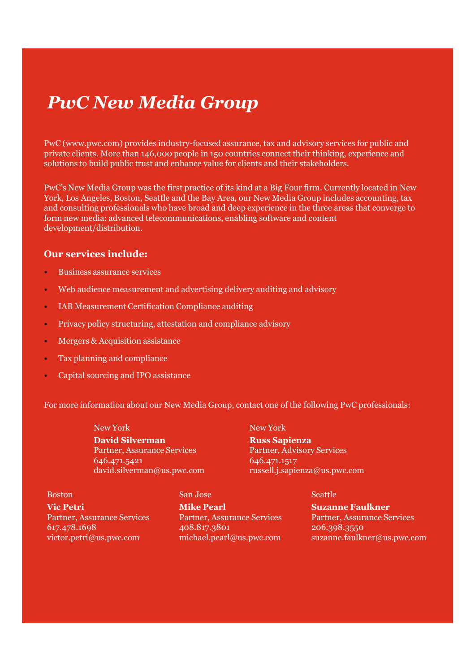## *PwC New Media Group*

PwC (www.pwc.com) provides industry-focused assurance, tax and advisory services for public and private clients. More than 146,000 people in 150 countries connect their thinking, experience and solutions to build public trust and enhance value for clients and their stakeholders.

PwC's New Media Group was the first practice of its kind at a Big Four firm. Currently located in New York, Los Angeles, Boston, Seattle and the Bay Area, our New Media Group includes accounting, tax and consulting professionals who have broad and deep experience in the three areas that converge to form new media: advanced telecommunications, enabling software and content development/distribution.

#### **Our services include:**

- Business assurance services
- Web audience measurement and advertising delivery auditing and advisory
- IAB Measurement Certification Compliance auditing
- Privacy policy structuring, attestation and compliance advisory
- Mergers & Acquisition assistance
- Tax planning and compliance
- Capital sourcing and IPO assistance

For more information about our New Media Group, contact one of the following PwC professionals:

New York **David Silverman** Partner, Assurance Services 646.471.5421 david.silverman@us.pwc.com New York

**Russ Sapienza** Partner, Advisory Services 646.471.1517 russell.j.sapienza@us.pwc.com

Boston **Vic Petri** Partner, Assurance Services 617.478.1698 victor.petri@us.pwc.com

**Mike Pearl** Partner, Assurance Services 408.817.3801 michael.pearl@us.pwc.com

San Jose

**Seattle** 

**Suzanne Faulkner** Partner, Assurance Services 206.398.3550 suzanne.faulkner@us.pwc.com